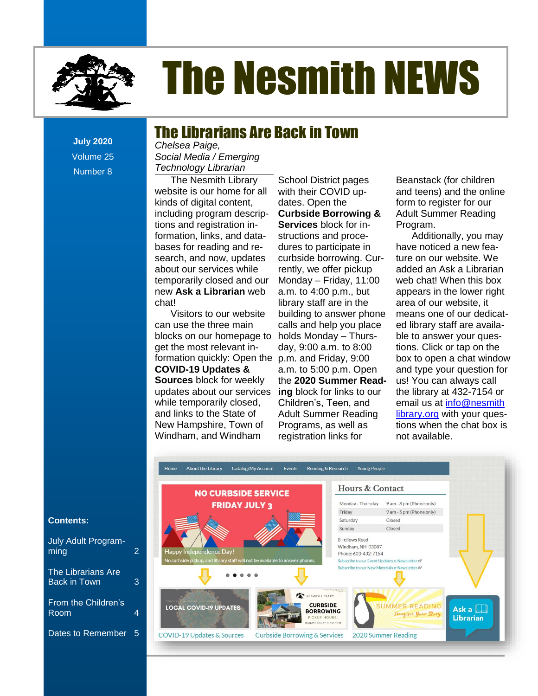

# The Nesmith NEWS

# The Librarians Are Back in Town

**July 2020** Volume 25 Number 8

**Contents** *Technology Librarian Chelsea Paige, Social Media / Emerging* 

[New Non-Fiction Titles in the Children's Room...................................................................................](file:///C:/Users/Joyce/Documents/Nesmith/2013/Feb%202013/NN02_13.doc%23_Toc347430558) **Error! Bookmark not defined.** temporarily closed and our The Nesmith Library website is our home for all kinds of digital content, including program descriptions and registration information, links, and databases for reading and research, and now, updates about our services while new **Ask a Librarian** web chat!

can use the three main formation quickly: Open the p.m. and Friday, 9:00 box to open a chat window Visitors to our website blocks on our homepage to get the most relevant in-**COVID-19 Updates & Sources** block for weekly updates about our services while temporarily closed, and links to the State of New Hampshire, Town of

The Reference Corners Corner of the Friday of the Friday of the Friday of the Friday of the Bookmark of the Friday of the Bookmark of the Friday of the Bookmark of the Bookmark of the Bookmark of the Bookmark of the Bookma iani, and vindilani — registration inks for — — not available. with their COVID updates. Open the structions and procerently, we offer pickup a.m. to 4:00 p.m., but library staff are in the building to answer phone calls and help you place holds Monday – Thursday, 9:00 a.m. to 8:00 a.m. to 5:00 p.m. Open **ing** block for links to our Children's, Teen, and Adult Summer Reading Programs, as well as registration links for

The Nesmith Library School District pages Beanstack (for children ite is our home for all with their COVID up- and teens) and the online of digital content, dates. Open the form to register for our ling program descrip- Curbside Borrowing & Adult Summer Reading s [..........................................................................................................................................................](file:///C:/Users/Joyce/Documents/Nesmith/2013/Feb%202013/NN02_13.doc%23_Toc347430552) **Error! Bookmark not defined. Services** block for in-Beanstack (for children Adult Summer Reading Program.

tion, links, and data- structions and proce- **Additionally**, you may s for reading and re- dures to participate in have noticed a new feah, and now, updates curbside borrowing. Cur- ture on our website. We our services while rently, we offer pickup added an Ask a Librarian brarily closed and our Monday – Friday, 11:00 veb chat! When this box ks on our homepage to holds Monday – Thurs-<br>ble to answer your quese most relevant in- day, 9:00 a.m. to 8:00 tions. Click or tap on the **D-19 Updates &** a.m. to 5:00 p.m. Open and type your question for the state of the **2020 Summer Read-** us! You can always call The Reference Corner Corner Corner Corner Corner in the corner was completed. es about our services ing block for links to our ble library at 432-7154 or temporarily closed, Children's, Teen, and email us at *info@nesmith* nks to the State of Adult Summer Reading Library.org with your ques-Hampshire, Town of Programs, as well as Tions when the chat box is New Namperine, Term of the Cograms, as well as the children's rise on the Children's Room.<br>Windham, and Windham registration links for the available. have noticed a new feature on our website. We web chat! When this box appears in the lower right area of our website, it means one of our dedicated library staff are availabox to open a chat window us! You can always call not available.



#### **Contents:**

| July Adult Program-<br>ming                      | 2 |
|--------------------------------------------------|---|
| <b>The Librarians Are</b><br><b>Back in Town</b> | 3 |
| From the Children's<br>Room                      | 4 |
| Dates to Remember                                | 5 |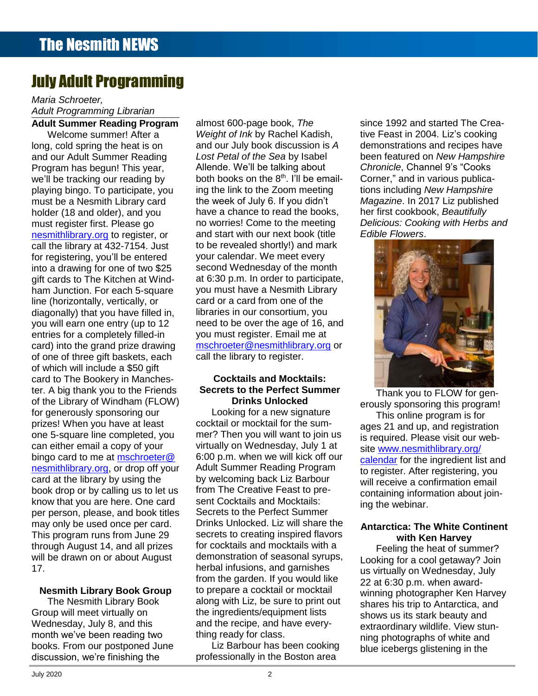# July Adult Programming

## **Contents Adult Summer Reading Program** *Maria Schroeter, Adult Programming Librarian*

**Contents** gift cards to The Kitchen at Wind-[From the Children's Room: February Vacation Programs](file:///C:/Users/Joyce/Documents/Nesmith/2013/Feb%202013/NN02_13.doc%23_Toc347430586) ...................................................................**Error! Bookmark not defined.** of which will include a \$50 gift **Exercise 20 and 20 and 20 and 20 and 20 and 20 and 20 and 20 and 20 and 20 and 20 and 20 and 20 and 20 and 20 and 20 and 20 and 20 and 20 and 20 and 20 and 20 and 20 and 20 and 20 and 20 a** card to The Bookery in Manches-**Cocktails and Mocktails: Error in Manches**or the Elbrary or windham (FEG<br>for generously sponsoring our Welcome summer! After a long, cold spring the heat is on Program has begun! This year, we'll be tracking our reading by playing bingo. To participate, you must be a Nesmith Library card holder (18 and older), and you must register first. Please go [nesmithlibrary.org](https://nesmithlibrary.org/) to register, or call the library at 432-7154. Just for registering, you'll be entered into a drawing for one of two \$25 ham Junction. For each 5-square line (horizontally, vertically, or you will earn one entry (up to 12 entries for a completely filled-in card) into the grand prize drawing of one of three gift baskets, each ter. A big thank you to the Friends of the Library of Windham (FLOW) prizes! When you have at least one 5-square line completed, you can either email a copy of your bingo card to me at [mschroeter@](mailto:mschroeter@nesmithlibrary.org) [nesmithlibrary.org,](mailto:mschroeter@nesmithlibrary.org) or drop off your card at the library by using the book drop or by calling us to let us know that you are here. One card per person, please, and book titles may only be used once per card. This program runs from June 29 through August 14, and all prizes will be drawn on or about August 17.

## **Nesmith Library Book Group**

The Nesmith Library Book Group will meet virtually on Wednesday, July 8, and this month we've been reading two books. From our postponed June discussion, we're finishing the

Welcome summer! After a Weight of Ink by Rachel Kadish, tive Feast in 2004. Liz's cooking cold spring the heat is on and our July book discussion is A demonstrations and recipes have ur Adult Summer Reading Lost Petal of the Sea by Isabel been featured on New Hampshire and our Adult Summer Reading Lost Petal of the Sea by Isabel been featured on New Hampshire am has begun! This year, Allende. We'll be talking about *Chronicle*, Channel 9's "Cooks be tracking our reading by both books on the 8<sup>th</sup>. I'll be email- Corner," and in various publicaig bingo. To participate, you ing the link to the Zoom meeting itions including New Hampshire be a Nesmith Library card the week of July 6. If you didn't Magazine. In 2017 Liz published [From the Children's Room: February Vacation Programs](file:///C:/Users/Joyce/Documents/Nesmith/2013/Feb%202013/NN02_13.doc%23_Toc347430556) ...................................................................**Error! Bookmark not defined.** r (18 and older), and you have a chance to read the books, her first cookbook, *Beautifully* register first. Please go **nomon-** no worries! Come to the meeting *Delicious: Cooking with Herbs and* ithlibrary.org to register, or and start with our next book (title Edible Flowers. a Junction. For each 5-square you must have a Nesmith Library the state of the state of the state of the state Norizontally, vertically, or exard or a card from one of the state of the state of the state of the state of the designments, while the same of a serie in our consortium, you diagonally) that you have filled in, libraries in our consortium, you ill earn one entry (up to 12 and to be over the age of 16, and the same of  $\frac{1}{2}$ s for a completely filled-in you must register. Email me at **Book and Corner in the completely** filled-in into the grand prize drawing [mschroeter@nesmithlibrary.org](mailto:mschroeter@nesmithlibrary.org) or [Take the Digital Challenge...................................................................................................................](file:///C:/Users/Joyce/Documents/Nesmith/2013/Feb%202013/NN02_13.doc%23_Toc347430585)**Error! Bookmark not defined.** call the library to register. almost 600-page book, *The Weight of Ink* by Rachel Kadish, *Lost Petal of the Sea* by Isabel the week of July 6. If you didn't no worries! Come to the meeting to be revealed shortly!) and mark your calendar. We meet every second Wednesday of the month at 6:30 p.m. In order to participate,

#### big thank you to the Friends Secrets to the Perfect Summer<br>Thank you to FLOW for gen-**Cocktails and Mocktails: Drinks Unlocked**

Looking for a new signature cocktail or mocktail for the summer? Then you will want to join us virtually on Wednesday, July 1 at 6:00 p.m. when we will kick off our Adult Summer Reading Program by welcoming back Liz Barbour from The Creative Feast to present Cocktails and Mocktails: Secrets to the Perfect Summer Drinks Unlocked. Liz will share the secrets to creating inspired flavors for cocktails and mocktails with a demonstration of seasonal syrups, herbal infusions, and garnishes from the garden. If you would like to prepare a cocktail or mocktail along with Liz, be sure to print out the ingredients/equipment lists and the recipe, and have everything ready for class.

Liz Barbour has been cooking professionally in the Boston area

since 1992 and started The Creademonstrations and recipes have *Chronicle*, Channel 9's "Cooks Corner," and in various publications including *New Hampshire*  her first cookbook, *Beautifully Edible Flowers*.



Thank you to FLOW for generously sponsoring this program! This online program is for ages 21 and up, and registration is required. Please visit our website [www.nesmithlibrary.org/](http://www.nesmithlibrary.org/calendar) [calendar](http://www.nesmithlibrary.org/calendar) for the ingredient list and to register. After registering, you will receive a confirmation email containing information about joining the webinar.

## **Antarctica: The White Continent with Ken Harvey**

Feeling the heat of summer? Looking for a cool getaway? Join us virtually on Wednesday, July 22 at 6:30 p.m. when awardwinning photographer Ken Harvey shares his trip to Antarctica, and shows us its stark beauty and extraordinary wildlife. View stunning photographs of white and blue icebergs glistening in the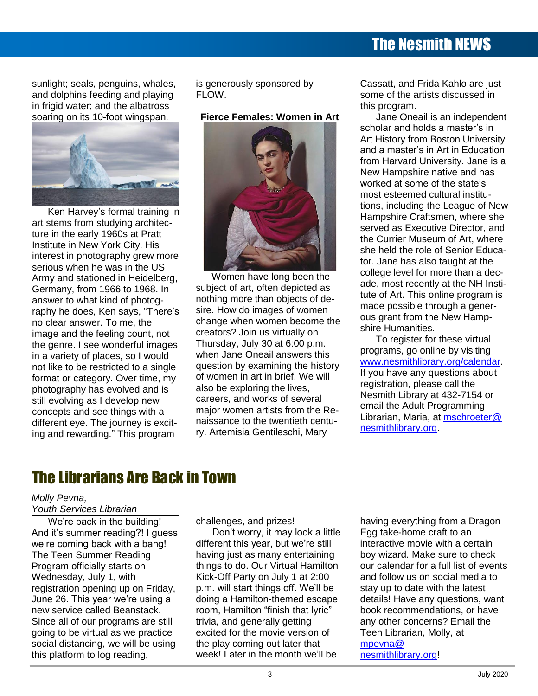# The Nesmith NEWS

sunlight; seals, penguins, whales, and dolphins feeding and playing in frigid water; and the albatross soaring on its 10-foot wingspan.



Ken Harvey's formal training in art stems from studying architecture in the early 1960s at Pratt Institute in New York City. His interest in photography grew more serious when he was in the US Army and stationed in Heidelberg, Germany, from 1966 to 1968. In answer to what kind of photography he does, Ken says, "There's no clear answer. To me, the image and the feeling count, not the genre. I see wonderful images in a variety of places, so I would not like to be restricted to a single format or category. Over time, my photography has evolved and is still evolving as I develop new concepts and see things with a different eye. The journey is exciting and rewarding." This program

is generously sponsored by FLOW.

#### **Fierce Females: Women in Art**



Women have long been the subject of art, often depicted as nothing more than objects of desire. How do images of women change when women become the creators? Join us virtually on Thursday, July 30 at 6:00 p.m. when Jane Oneail answers this question by examining the history of women in art in brief. We will also be exploring the lives, careers, and works of several major women artists from the Renaissance to the twentieth century. Artemisia Gentileschi, Mary

Cassatt, and Frida Kahlo are just some of the artists discussed in this program.

Jane Oneail is an independent scholar and holds a master's in Art History from Boston University and a master's in Art in Education from Harvard University. Jane is a New Hampshire native and has worked at some of the state's most esteemed cultural institutions, including the League of New Hampshire Craftsmen, where she served as Executive Director, and the Currier Museum of Art, where she held the role of Senior Educator. Jane has also taught at the college level for more than a decade, most recently at the NH Institute of Art. This online program is made possible through a generous grant from the New Hampshire Humanities.

To register for these virtual programs, go online by visiting [www.nesmithlibrary.org/calendar.](http://www.nesmithlibrary.org/calendar) If you have any questions about registration, please call the Nesmith Library at 432-7154 or email the Adult Programming Librarian, Maria, at [mschroeter@](mailto:mschroeter@nesmithlibrary.org) [nesmithlibrary.org.](mailto:mschroeter@nesmithlibrary.org)

## The Librarians Are Back in Town

#### *Molly Pevna,*

*Youth Services Librarian*

We're back in the building! And it's summer reading?! I guess we're coming back with a bang! The Teen Summer Reading Program officially starts on Wednesday, July 1, with registration opening up on Friday, June 26. This year we're using a new service called Beanstack. Since all of our programs are still going to be virtual as we practice social distancing, we will be using this platform to log reading,

challenges, and prizes!

Don't worry, it may look a little different this year, but we're still having just as many entertaining things to do. Our Virtual Hamilton Kick-Off Party on July 1 at 2:00 p.m. will start things off. We'll be doing a Hamilton-themed escape room, Hamilton "finish that lyric" trivia, and generally getting excited for the movie version of the play coming out later that week! Later in the month we'll be

having everything from a Dragon Egg take-home craft to an interactive movie with a certain boy wizard. Make sure to check our calendar for a full list of events and follow us on social media to stay up to date with the latest details! Have any questions, want book recommendations, or have any other concerns? Email the Teen Librarian, Molly, at [mpevna@](mailto:mpevna@nesmithlibrary.org) [nesmithlibrary.org!](mailto:mpevna@nesmithlibrary.org)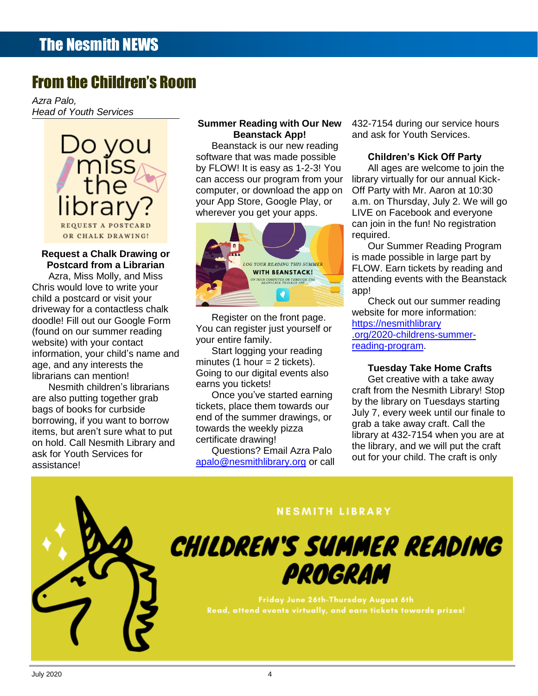# From the Children's Room

*Azra Palo, Head of Youth Services*



## **Request a Chalk Drawing or Postcard from a Librarian**

Azra, Miss Molly, and Miss Chris would love to write your child a postcard or visit your driveway for a contactless chalk doodle! Fill out our Google Form (found on our summer reading website) with your contact information, your child's name and age, and any interests the librarians can mention!

Nesmith children's librarians are also putting together grab bags of books for curbside borrowing, if you want to borrow items, but aren't sure what to put on hold. Call Nesmith Library and ask for Youth Services for assistance!

#### **Summer Reading with Our New Beanstack App!**

Beanstack is our new reading software that was made possible by FLOW! It is easy as 1-2-3! You can access our program from your computer, or download the app on your App Store, Google Play, or wherever you get your apps.



Register on the front page. You can register just yourself or your entire family.

Start logging your reading minutes (1 hour  $=$  2 tickets). Going to our digital events also earns you tickets!

Once you've started earning tickets, place them towards our end of the summer drawings, or towards the weekly pizza certificate drawing!

Questions? Email Azra Palo [apalo@nesmithlibrary.org](mailto:apalo@nesmithlibrary.org) or call 432-7154 during our service hours and ask for Youth Services.

## **Children's Kick Off Party**

All ages are welcome to join the library virtually for our annual Kick-Off Party with Mr. Aaron at 10:30 a.m. on Thursday, July 2. We will go LIVE on Facebook and everyone can join in the fun! No registration required.

Our Summer Reading Program is made possible in large part by FLOW. Earn tickets by reading and attending events with the Beanstack app!

Check out our summer reading website for more information: [https://nesmithlibrary](https://nesmithlibrary.org/2020-childrens-summer-reading-program) [.org/2020-childrens-summer](https://nesmithlibrary.org/2020-childrens-summer-reading-program)[reading-program.](https://nesmithlibrary.org/2020-childrens-summer-reading-program)

#### **Tuesday Take Home Crafts**

Get creative with a take away craft from the Nesmith Library! Stop by the library on Tuesdays starting July 7, every week until our finale to grab a take away craft. Call the library at 432-7154 when you are at the library, and we will put the craft out for your child. The craft is only



## **NESMITH LIBRARY**

**CHILDREN'S SUMMER READING** PROGRAM

> Friday June 26th-Thursday August 6th Read, attend events virtually, and earn tickets towards prizes!